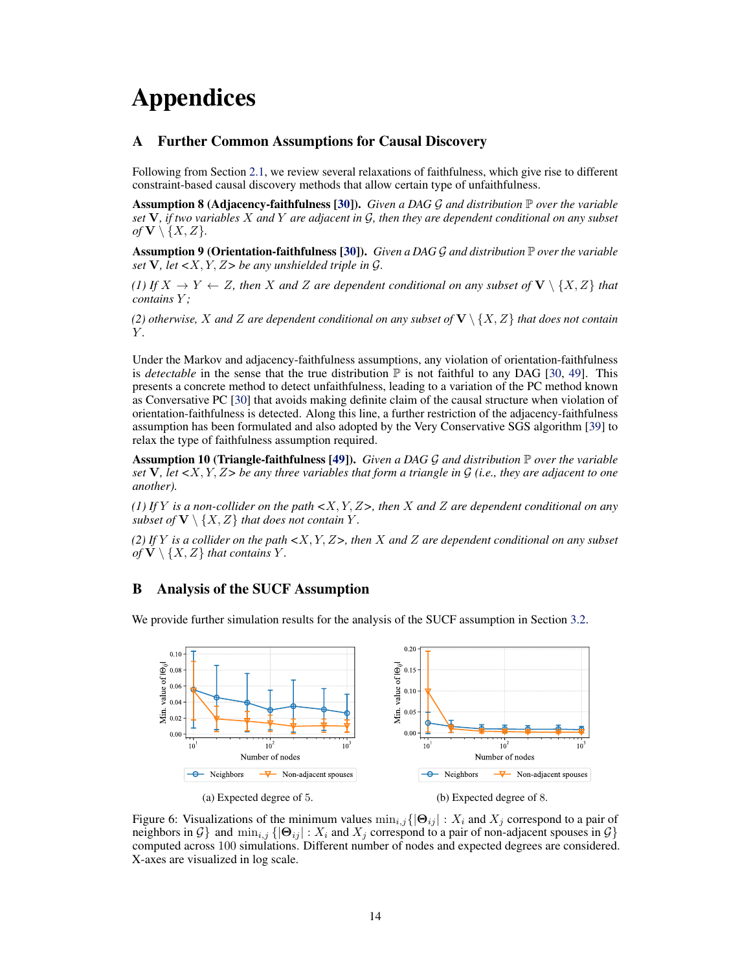# <span id="page-0-13"></span>Appendices

# <span id="page-0-3"></span>A Further Common Assumptions for Causal Discovery

<span id="page-0-8"></span><span id="page-0-7"></span>Following from Section [2.1,](#page-0-0) we review several relaxations of faithfulness, which give rise to different constraint-based causal discovery methods that allow certain type of unfaithfulness.

Assumption 8 (Adjacency-faithfulness [\[30\]](#page-0-1)). *Given a DAG G and distribution* P *over the variable set* V*, if two variables X and Y are adjacent in G, then they are dependent conditional on any subset*  $of$  **V**  $\setminus \{X, Z\}$ *.* 

Assumption 9 (Orientation-faithfulness [\[30\]](#page-0-1)). *Given a DAG G and distribution* P *over the variable set* V*, let <X, Y, Z> be any unshielded triple in G.*

*(1)* If  $X \to Y \leftarrow Z$ , then X and Z are dependent conditional on any subset of  $V \setminus \{X, Z\}$  that *contains Y ;*

<span id="page-0-10"></span>*(2) otherwise, X and Z are dependent conditional on any subset of* V *\ {X, Z} that does not contain Y .*

<span id="page-0-20"></span><span id="page-0-12"></span>Under the Markov and adjacency-faithfulness assumptions, any violation of orientation-faithfulness is *detectable* in the sense that the true distribution  $\mathbb P$  is not faithful to any DAG [\[30,](#page-0-1) [49\]](#page-0-2). This presents a concrete method to detect unfaithfulness, leading to a variation of the PC method known as Conversative PC [\[30\]](#page-0-1) that avoids making definite claim of the causal structure when violation of orientation-faithfulness is detected. Along this line, a further restriction of the adjacency-faithfulness assumption has been formulated and also adopted by the Very Conservative SGS algorithm [\[39\]](#page-0-3) to relax the type of faithfulness assumption required.

<span id="page-0-6"></span>Assumption 10 (Triangle-faithfulness [\[49\]](#page-0-2)). *Given a DAG G and distribution* P *over the variable set* V*, let <X, Y, Z> be any three variables that form a triangle in G (i.e., they are adjacent to one another).*

<span id="page-0-17"></span><span id="page-0-2"></span>*(1) If Y is a non-collider on the path <X, Y, Z>, then X and Z are dependent conditional on any subset of*  $V \setminus \{X, Z\}$  *that does not contain*  $Y$ *.* 

<span id="page-0-1"></span>*(2) If Y is a collider on the path <X, Y, Z>, then X and Z are dependent conditional on any subset of*  $V \setminus \{X, Z\}$  *that contains*  $Y$ *.* 

# <span id="page-0-18"></span>B Analysis of the SUCF Assumption

We provide further simulation results for the analysis of the SUCF assumption in Section [3.2.](#page-0-4)

<span id="page-0-14"></span><span id="page-0-9"></span><span id="page-0-4"></span>

<span id="page-0-19"></span><span id="page-0-16"></span><span id="page-0-15"></span><span id="page-0-11"></span><span id="page-0-5"></span><span id="page-0-0"></span>Figure 6: Visualizations of the minimum values  $\min_{i,j} \{|\Theta_{ij}| : X_i \text{ and } X_j \text{ correspond to a pair of }$ neighbors in  $G$ } and  $\min_{i,j} \{|\Theta_{ij}| : X_i \text{ and } X_j \text{ correspond to a pair of non-adjacent spouses in } G\}$ computed across 100 simulations. Different number of nodes and expected degrees are considered. X-axes are visualized in log scale.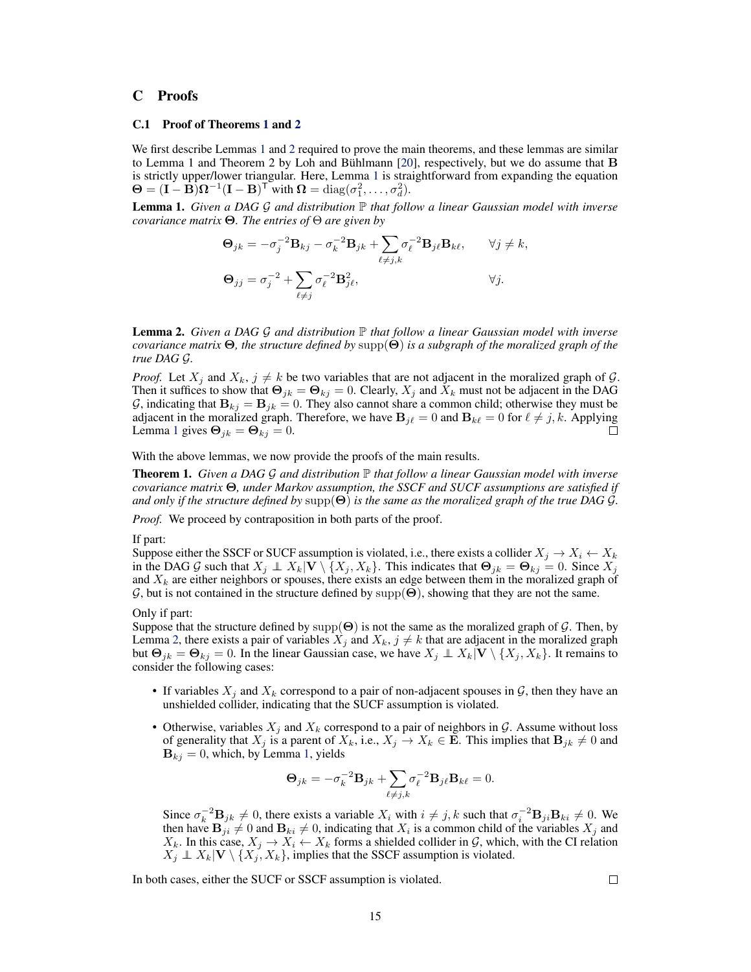# C Proofs

## C.1 Proof of Theorems [1](#page-0-5) and [2](#page-0-6)

We first describe Lemmas [1](#page-1-0) and [2](#page-1-1) required to prove the main theorems, and these lemmas are similar to Lemma 1 and Theorem 2 by Loh and Bühlmann [\[20\]](#page-0-7), respectively, but we do assume that B is strictly upper/lower triangular. Here, Lemma [1](#page-1-0) is straightforward from expanding the equation  $\mathbf{\Theta} = (\mathbf{I} - \mathbf{\dot{B}})\mathbf{\Omega}^{-1}(\mathbf{I} - \mathbf{B})^{\mathsf{T}}$  with  $\mathbf{\Omega} = \text{diag}(\sigma_1^2, \dots, \sigma_d^2)$ .

Lemma 1. *Given a DAG G and distribution* P *that follow a linear Gaussian model with inverse covariance matrix*  $\Theta$ *. The entries of*  $\Theta$  *are given by* 

<span id="page-1-0"></span>
$$
\Theta_{jk} = -\sigma_j^{-2} \mathbf{B}_{kj} - \sigma_k^{-2} \mathbf{B}_{jk} + \sum_{\ell \neq j,k} \sigma_\ell^{-2} \mathbf{B}_{j\ell} \mathbf{B}_{k\ell}, \qquad \forall j \neq k,
$$
  

$$
\Theta_{jj} = \sigma_j^{-2} + \sum_{\ell \neq j} \sigma_\ell^{-2} \mathbf{B}_{j\ell}^2, \qquad \forall j.
$$

<span id="page-1-1"></span>Lemma 2. *Given a DAG G and distribution* P *that follow a linear Gaussian model with inverse covariance matrix*  $\Theta$ , the structure defined by supp $(\Theta)$  is a subgraph of the moralized graph of the *true DAG G.*

*Proof.* Let  $X_j$  and  $X_k$ ,  $j \neq k$  be two variables that are not adjacent in the moralized graph of  $G$ . Then it suffices to show that  $\Theta_{jk} = \Theta_{kj} = 0$ . Clearly,  $X_j$  and  $X_k$  must not be adjacent in the DAG *G*, indicating that  $B_{kj} = B_{jk} = 0$ . They also cannot share a common child; otherwise they must be adjacent in the moralized graph. Therefore, we have  $B_{j\ell} = 0$  and  $B_{k\ell} = 0$  for  $\ell \neq j, k$ . Applying Lemma [1](#page-1-0) gives  $\mathbf{\Theta}_{ik} = \mathbf{\Theta}_{kj} = 0$ .

With the above lemmas, we now provide the proofs of the main results.

Theorem 1. *Given a DAG G and distribution* P *that follow a linear Gaussian model with inverse* covariance matrix  $\Theta$ , under Markov assumption, the SSCF and SUCF assumptions are satisfied if and only if the structure defined by  $supp(\Theta)$  is the same as the moralized graph of the true DAG  $\mathcal G$ *.* 

*Proof.* We proceed by contraposition in both parts of the proof.

#### If part:

Suppose either the SSCF or SUCF assumption is violated, i.e., there exists a collider  $X_j \to X_i \leftarrow X_k$ in the DAG G such that  $X_j \perp\!\!\!\perp X_k | \mathbf{V} \setminus \{X_j, X_k\}$ . This indicates that  $\mathbf{\Theta}_{jk} = \mathbf{\Theta}_{kj} = 0$ . Since  $X_j$ and *X<sup>k</sup>* are either neighbors or spouses, there exists an edge between them in the moralized graph of  $G$ , but is not contained in the structure defined by supp $(\Theta)$ , showing that they are not the same.

#### Only if part:

Suppose that the structure defined by  $supp(\Theta)$  is not the same as the moralized graph of *G*. Then, by Lemma [2,](#page-1-1) there exists a pair of variables  $X_j$  and  $X_k$ ,  $j \neq k$  that are adjacent in the moralized graph but  $\Theta_{ik} = \Theta_{kj} = 0$ . In the linear Gaussian case, we have  $X_j \perp X_k | \mathbf{V} \setminus \{X_j, X_k\}$ . It remains to consider the following cases:

- If variables  $X_i$  and  $X_k$  correspond to a pair of non-adjacent spouses in  $G$ , then they have an unshielded collider, indicating that the SUCF assumption is violated.
- Otherwise, variables  $X_j$  and  $X_k$  correspond to a pair of neighbors in  $\mathcal G$ . Assume without loss of generality that  $X_j$  is a parent of  $X_k$ , i.e.,  $X_j \to X_k \in \mathbf{E}$ . This implies that  $\mathbf{B}_{jk} \neq 0$  and **, which, by Lemma [1,](#page-1-0) yields**

$$
\mathbf{\Theta}_{jk} = -\sigma_k^{-2} \mathbf{B}_{jk} + \sum_{\ell \neq j,k} \sigma_\ell^{-2} \mathbf{B}_{j\ell} \mathbf{B}_{k\ell} = 0.
$$

Since  $\sigma_k^{-2} \mathbf{B}_{jk} \neq 0$ , there exists a variable  $X_i$  with  $i \neq j, k$  such that  $\sigma_i^{-2} \mathbf{B}_{ji} \mathbf{B}_{ki} \neq 0$ . We then have  $\mathbf{B}_{ji} \neq 0$  and  $\mathbf{B}_{ki} \neq 0$ , indicating that  $X_i$  is a common child of the variables  $X_j$  and  $X_k$ . In this case,  $X_j \to X_i \leftarrow X_k$  forms a shielded collider in *G*, which, with the CI relation  $X_j \perp X_k | \mathbf{V} \setminus \{X_j, X_k\}$ , implies that the SSCF assumption is violated.

In both cases, either the SUCF or SSCF assumption is violated.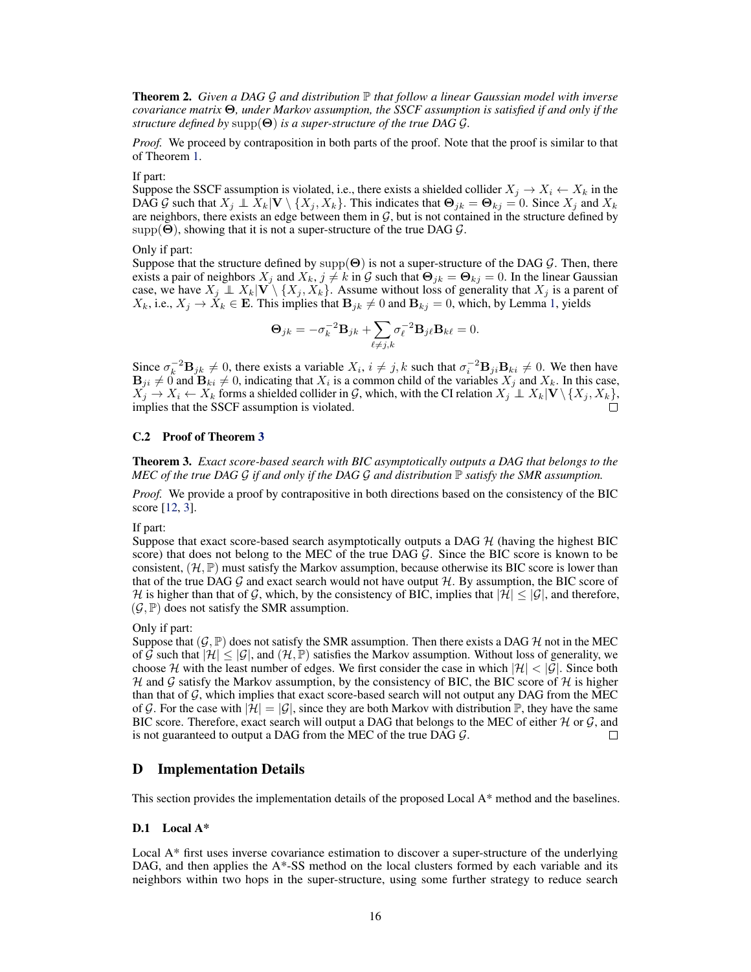Theorem 2. *Given a DAG G and distribution* P *that follow a linear Gaussian model with inverse covariance matrix* ⇥*, under Markov assumption, the SSCF assumption is satisfied if and only if the structure defined by*  $supp(\Theta)$  *is a super-structure of the true DAG G.* 

*Proof.* We proceed by contraposition in both parts of the proof. Note that the proof is similar to that of Theorem [1.](#page-0-5)

If part:

Suppose the SSCF assumption is violated, i.e., there exists a shielded collider  $X_i \to X_i \leftarrow X_k$  in the DAG G such that  $X_j \perp \overline{X}_k | \mathbf{V} \setminus \{X_j, X_k\}$ . This indicates that  $\Theta_{jk} = \Theta_{kj} = 0$ . Since  $X_j$  and  $X_k$ are neighbors, there exists an edge between them in  $G$ , but is not contained in the structure defined by  $supp(\Theta)$ , showing that it is not a super-structure of the true DAG  $\mathcal{G}$ .

Only if part:

Suppose that the structure defined by  $\text{supp}(\Theta)$  is not a super-structure of the DAG  $\mathcal G$ . Then, there exists a pair of neighbors  $X_j$  and  $X_k$ ,  $j \neq k$  in  $G$  such that  $\Theta_{jk} = \Theta_{kj} = 0$ . In the linear Gaussian case, we have  $X_j \perp X_k | V \setminus \{X_j, X_k\}$ . Assume without loss of generality that  $X_j$  is a parent of  $X_k$ , i.e.,  $X_j \to \dot{X}_k \in \mathbf{E}$ . This implies that  $\mathbf{B}_{jk} \neq 0$  and  $\mathbf{B}_{kj} = 0$ , which, by Lemma [1,](#page-1-0) yields

$$
\mathbf{\Theta}_{jk} = -\sigma_k^{-2} \mathbf{B}_{jk} + \sum_{\ell \neq j,k} \sigma_\ell^{-2} \mathbf{B}_{j\ell} \mathbf{B}_{k\ell} = 0.
$$

Since  $\sigma_k^{-2} \mathbf{B}_{jk} \neq 0$ , there exists a variable  $X_i$ ,  $i \neq j$ , k such that  $\sigma_i^{-2} \mathbf{B}_{ji} \mathbf{B}_{ki} \neq 0$ . We then have  $\mathbf{B}_{ji} \neq 0$  and  $\mathbf{B}_{ki} \neq 0$ , indicating that  $X_i$  is a common child of the variables  $X_j$  and  $X_k$ . In this case,  $X_j \to X_i \leftarrow X_k$  forms a shielded collider in *G*, which, with the CI relation  $X_j \perp X_k | \mathbf{V} \setminus \{X_j, X_k\}$ , implies that the SSCF assumption is violated.

#### C.2 Proof of Theorem [3](#page-0-8)

Theorem 3. *Exact score-based search with BIC asymptotically outputs a DAG that belongs to the MEC of the true DAG G if and only if the DAG G and distribution* P *satisfy the SMR assumption.*

*Proof.* We provide a proof by contrapositive in both directions based on the consistency of the BIC score [\[12,](#page-0-9) [3\]](#page-0-10).

If part:

Suppose that exact score-based search asymptotically outputs a DAG *H* (having the highest BIC score) that does not belong to the MEC of the true DAG *G*. Since the BIC score is known to be consistent,  $(H, \mathbb{P})$  must satisfy the Markov assumption, because otherwise its BIC score is lower than that of the true DAG *G* and exact search would not have output *H*. By assumption, the BIC score of *H* is higher than that of *G*, which, by the consistency of BIC, implies that  $|H| \leq |G|$ , and therefore,  $(\mathcal{G}, \mathbb{P})$  does not satisfy the SMR assumption.

#### Only if part:

Suppose that  $(G, \mathbb{P})$  does not satisfy the SMR assumption. Then there exists a DAG  $H$  not in the MEC of  $\mathcal G$  such that  $|\mathcal H| \leq |\mathcal G|$ , and  $(\mathcal H, \mathbb P)$  satisfies the Markov assumption. Without loss of generality, we choose  $H$  with the least number of edges. We first consider the case in which  $|H| < |G|$ . Since both *H* and *G* satisfy the Markov assumption, by the consistency of BIC, the BIC score of *H* is higher than that of  $G$ , which implies that exact score-based search will not output any DAG from the MEC of G. For the case with  $|\mathcal{H}| = |\mathcal{G}|$ , since they are both Markov with distribution  $\mathbb{P}$ , they have the same BIC score. Therefore, exact search will output a DAG that belongs to the MEC of either *H* or *G*, and is not guaranteed to output a DAG from the MEC of the true DAG *G*. is not guaranteed to output a DAG from the MEC of the true DAG *G*.

# D Implementation Details

This section provides the implementation details of the proposed Local A\* method and the baselines.

## D.1 Local A\*

Local A\* first uses inverse covariance estimation to discover a super-structure of the underlying DAG, and then applies the A\*-SS method on the local clusters formed by each variable and its neighbors within two hops in the super-structure, using some further strategy to reduce search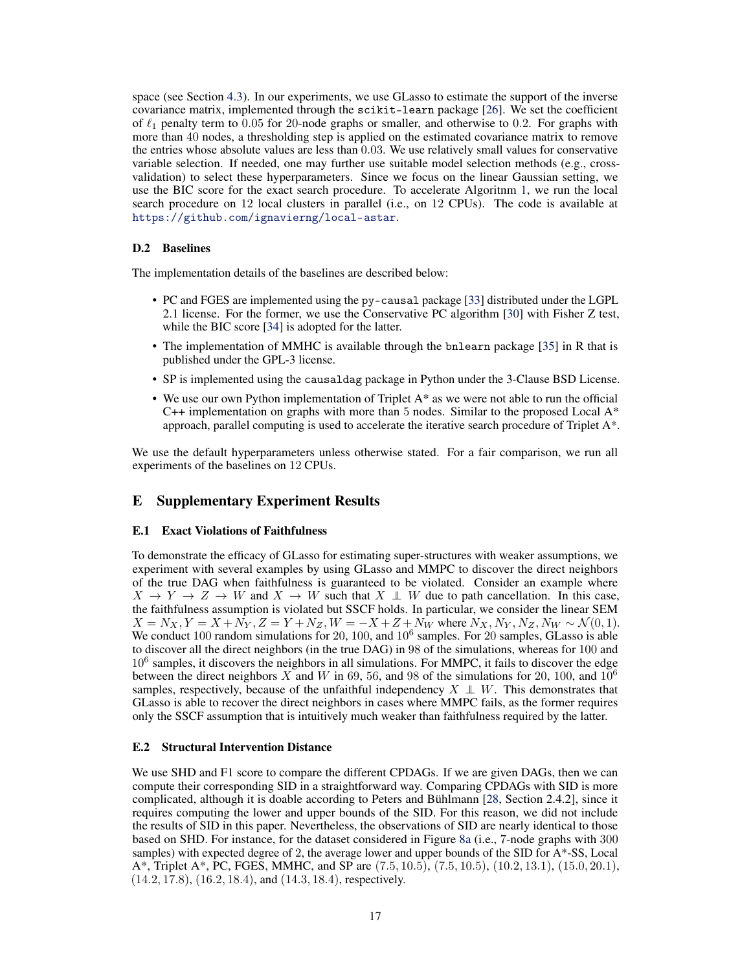space (see Section [4.3\)](#page-0-11). In our experiments, we use GLasso to estimate the support of the inverse covariance matrix, implemented through the scikit-learn package [\[26\]](#page-0-12). We set the coefficient of  $\ell_1$  penalty term to 0.05 for 20-node graphs or smaller, and otherwise to 0.2. For graphs with more than 40 nodes, a thresholding step is applied on the estimated covariance matrix to remove the entries whose absolute values are less than 0*.*03. We use relatively small values for conservative variable selection. If needed, one may further use suitable model selection methods (e.g., crossvalidation) to select these hyperparameters. Since we focus on the linear Gaussian setting, we use the BIC score for the exact search procedure. To accelerate Algoritnm [1,](#page-0-13) we run the local search procedure on 12 local clusters in parallel (i.e., on 12 CPUs). The code is available at <https://github.com/ignavierng/local-astar>.

#### D.2 Baselines

The implementation details of the baselines are described below:

- PC and FGES are implemented using the py-causal package [\[33\]](#page-0-14) distributed under the LGPL 2.1 license. For the former, we use the Conservative PC algorithm [\[30\]](#page-0-1) with Fisher Z test, while the BIC score [\[34\]](#page-0-15) is adopted for the latter.
- The implementation of MMHC is available through the bnlearn package [\[35\]](#page-0-16) in R that is published under the GPL-3 license.
- SP is implemented using the causaldag package in Python under the 3-Clause BSD License.
- We use our own Python implementation of Triplet A\* as we were not able to run the official C++ implementation on graphs with more than 5 nodes. Similar to the proposed Local A\* approach, parallel computing is used to accelerate the iterative search procedure of Triplet A\*.

We use the default hyperparameters unless otherwise stated. For a fair comparison, we run all experiments of the baselines on 12 CPUs.

## E Supplementary Experiment Results

### E.1 Exact Violations of Faithfulness

To demonstrate the efficacy of GLasso for estimating super-structures with weaker assumptions, we experiment with several examples by using GLasso and MMPC to discover the direct neighbors of the true DAG when faithfulness is guaranteed to be violated. Consider an example where  $X \to Y \to Z \to W$  and  $X \to W$  such that  $X \perp W$  due to path cancellation. In this case, the faithfulness assumption is violated but SSCF holds. In particular, we consider the linear SEM  $X = N_X, Y = X + N_Y, Z = Y + N_Z, W = -X + Z + N_W$  where  $N_X, N_Y, N_Z, N_W \sim \mathcal{N}(0, 1)$ .<br>We conduct 100 random simulations for 20, 100, and 10<sup>6</sup> samples. For 20 samples, GLasso is able to discover all the direct neighbors (in the true DAG) in 98 of the simulations, whereas for 100 and  $10<sup>6</sup>$  samples, it discovers the neighbors in all simulations. For MMPC, it fails to discover the edge between the direct neighbors *X* and *W* in 69, 56, and 98 of the simulations for 20, 100, and  $10^6$ samples, respectively, because of the unfaithful independency  $X \perp W$ . This demonstrates that GLasso is able to recover the direct neighbors in cases where MMPC fails, as the former requires only the SSCF assumption that is intuitively much weaker than faithfulness required by the latter.

#### E.2 Structural Intervention Distance

We use SHD and F1 score to compare the different CPDAGs. If we are given DAGs, then we can compute their corresponding SID in a straightforward way. Comparing CPDAGs with SID is more complicated, although it is doable according to Peters and Bühlmann [\[28,](#page-0-17) Section 2.4.2], since it requires computing the lower and upper bounds of the SID. For this reason, we did not include the results of SID in this paper. Nevertheless, the observations of SID are nearly identical to those based on SHD. For instance, for the dataset considered in Figure [8a](#page-4-0) (i.e., 7-node graphs with 300 samples) with expected degree of 2, the average lower and upper bounds of the SID for A\*-SS, Local A\*, Triplet A\*, PC, FGES, MMHC, and SP are (7*.*5*,* 10*.*5), (7*.*5*,* 10*.*5), (10*.*2*,* 13*.*1), (15*.*0*,* 20*.*1), (14*.*2*,* 17*.*8), (16*.*2*,* 18*.*4), and (14*.*3*,* 18*.*4), respectively.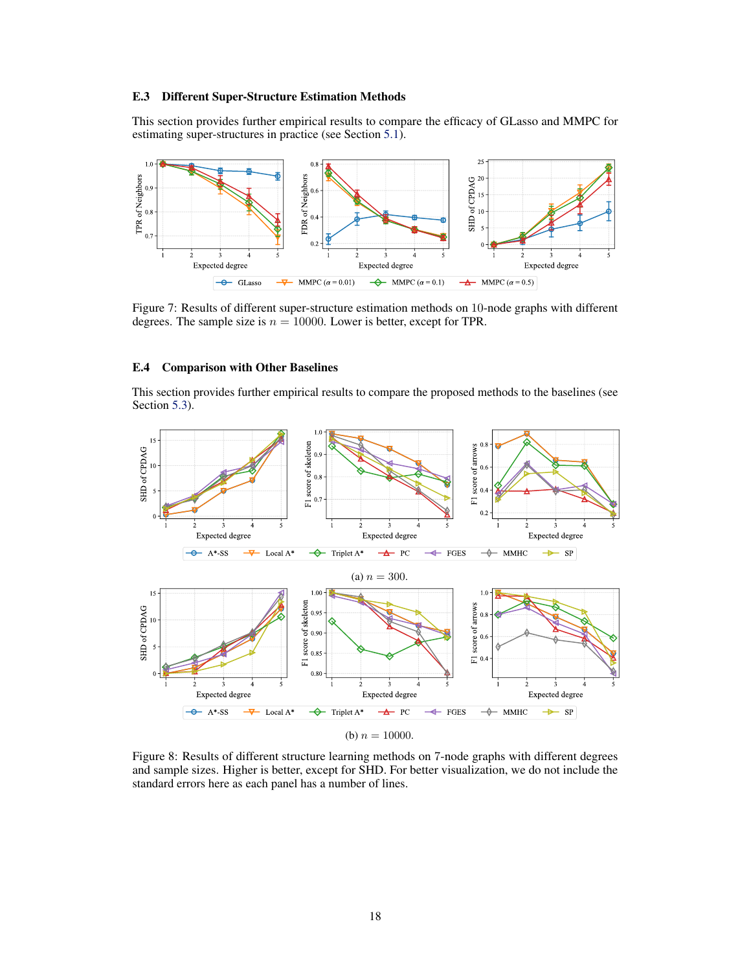## E.3 Different Super-Structure Estimation Methods

This section provides further empirical results to compare the efficacy of GLasso and MMPC for estimating super-structures in practice (see Section [5.1\)](#page-0-18).



Figure 7: Results of different super-structure estimation methods on 10-node graphs with different degrees. The sample size is  $n = 10000$ . Lower is better, except for TPR.

## E.4 Comparison with Other Baselines

This section provides further empirical results to compare the proposed methods to the baselines (see Section [5.3\)](#page-0-19).

<span id="page-4-0"></span>

(b)  $n = 10000$ .

Figure 8: Results of different structure learning methods on 7-node graphs with different degrees and sample sizes. Higher is better, except for SHD. For better visualization, we do not include the standard errors here as each panel has a number of lines.